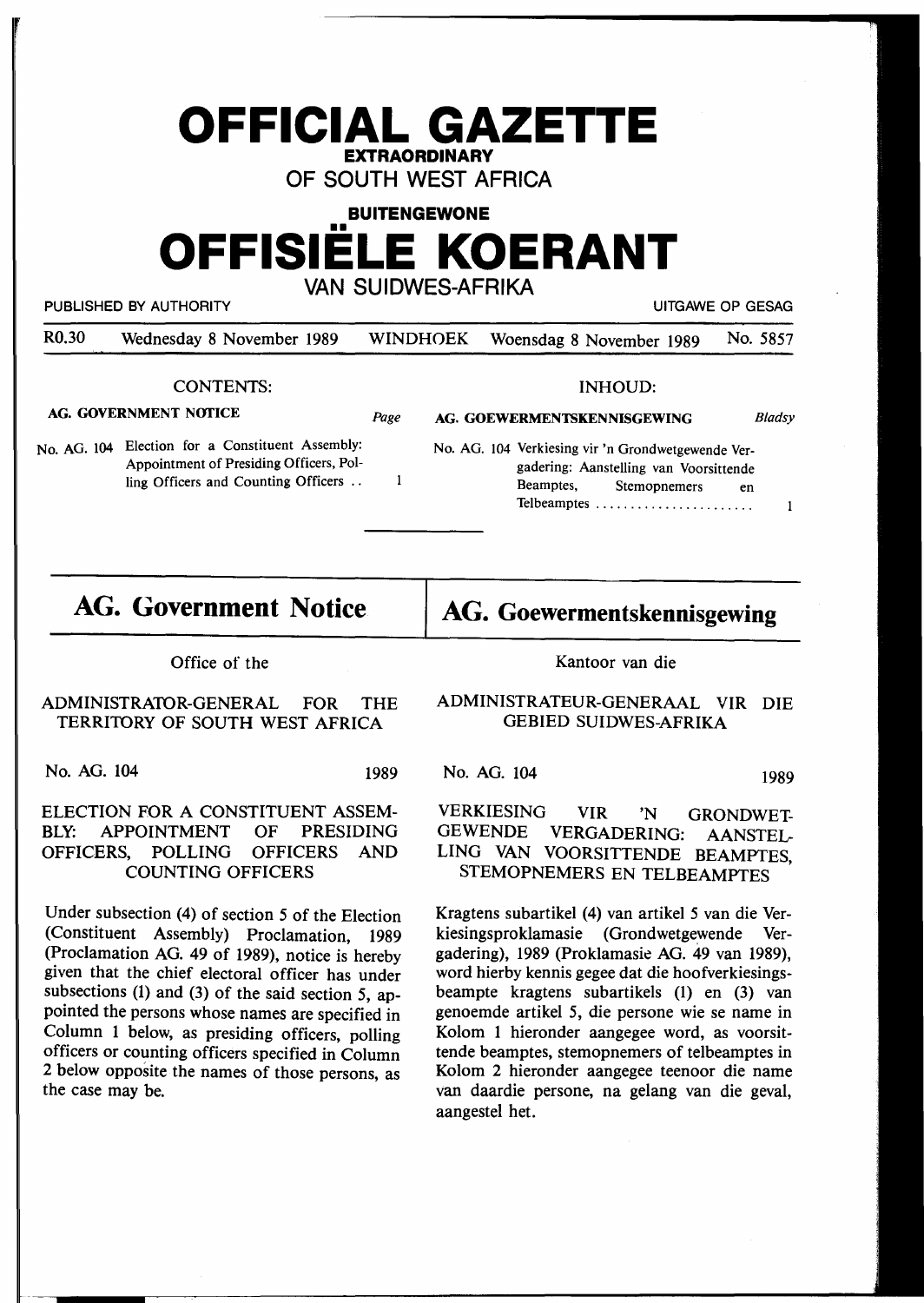# **OFFICIAL GAZETTE EXTRAORDINARY**

**OF SOUTH WEST AFRICA** 

**BUITENGEWONE** 

# •• **OFFISIELE KOERANT**

**VAN SUIDWES-AFRIKA** 

PUBLISHED BY AUTHORITY **AUTHORITY EXAGE OF GESAGE OF GESAGE OF GESAGE OF GESAGE OF GESAGE OF GESAGE OF GESAGE OF GESAGE OF GESAGE OF GESAGE OF GESAGE OF GESAGE OF GESAGE OF GESAGE OF GESAGE OF GESAGE OF GESAGE OF GESAGE** 

R0.30 Wednesday 8 November 1989 WINDHOEK Woensdag 8 November 1989 No. 5857

*Page* 

 $\mathbf{1}$ 

### CONTENTS:

#### **AG. GOVERNMENT NOfICE**

No. AG. 104 Election for a Constituent Assembly: Appointment of Presiding Officers, Polling Officers and Counting Officers ..

#### INHOUD:

**AG. GOEWERMENTSKENNISGEWING**  *Bladsy* 

No. AG. 104 Verkiesing vir 'n Grondwetgewende Vergadering: Aanstelling van Voorsittende Beamptes, Stemopnemers en Telbeamptes ........................

## **AG. Government Notice**

Office of the

### ADMINISTRATOR-GENERAL FOR THE TERRITORY OF SOUTH WEST AFRICA

No. AG. 104 1989

### ELECTION FOR A CONSTITUENT ASSEM-BLY: APPOINTMENT OF PRESIDING OFFICERS, POLLING OFFICERS AND COUNTING OFFICERS

Under subsection (4) of section *5* of the Election (Constituent Assembly) Proclamation, 1989 (Proclamation AG. 49 of 1989), notice is hereby given that the chief electoral officer has under subsections **(1)** and (3) of the said section *5,* appointed the persons whose names are specified in Column 1 below, as presiding officers, polling officers or counting officers specified in Column 2 below opposite the names of those persons, as the case may be.

Kantoor van die

**AG. Goewermentskennisgewing** 

### ADMINISTRATEUR-GENERAAL VIR DIE GEBIED SUIDWES-AFRIKA

No. AG. 104 1989

 $\mathbf{1}$ 

### VERKIESING VIR 'N GRONDWET-VERGADERING: AANSTEL-LING VAN VOORSITTENDE BEAMPTES, STEMOPNEMERS EN TELBEAMPTES

Kragtens subartikel (4) van artikel *5* van die Verkiesingsproklamasie (Grondwetgewende Vergadering), 1989 (Proklamasie AG. 49 van 1989), word hierby kennis gegee dat die hoofverkiesingsbeampte kragtens subartikels (1) en (3) van genoemde artikel *5,* die persone wie se name in Kolom 1 hieronder aangegee word, as voorsittende beamptes, stemopnemers of telbeamptes in Kolom 2 hieronder aangegee teenoor die name van daardie persone, na gelang van die geval, aangestel het.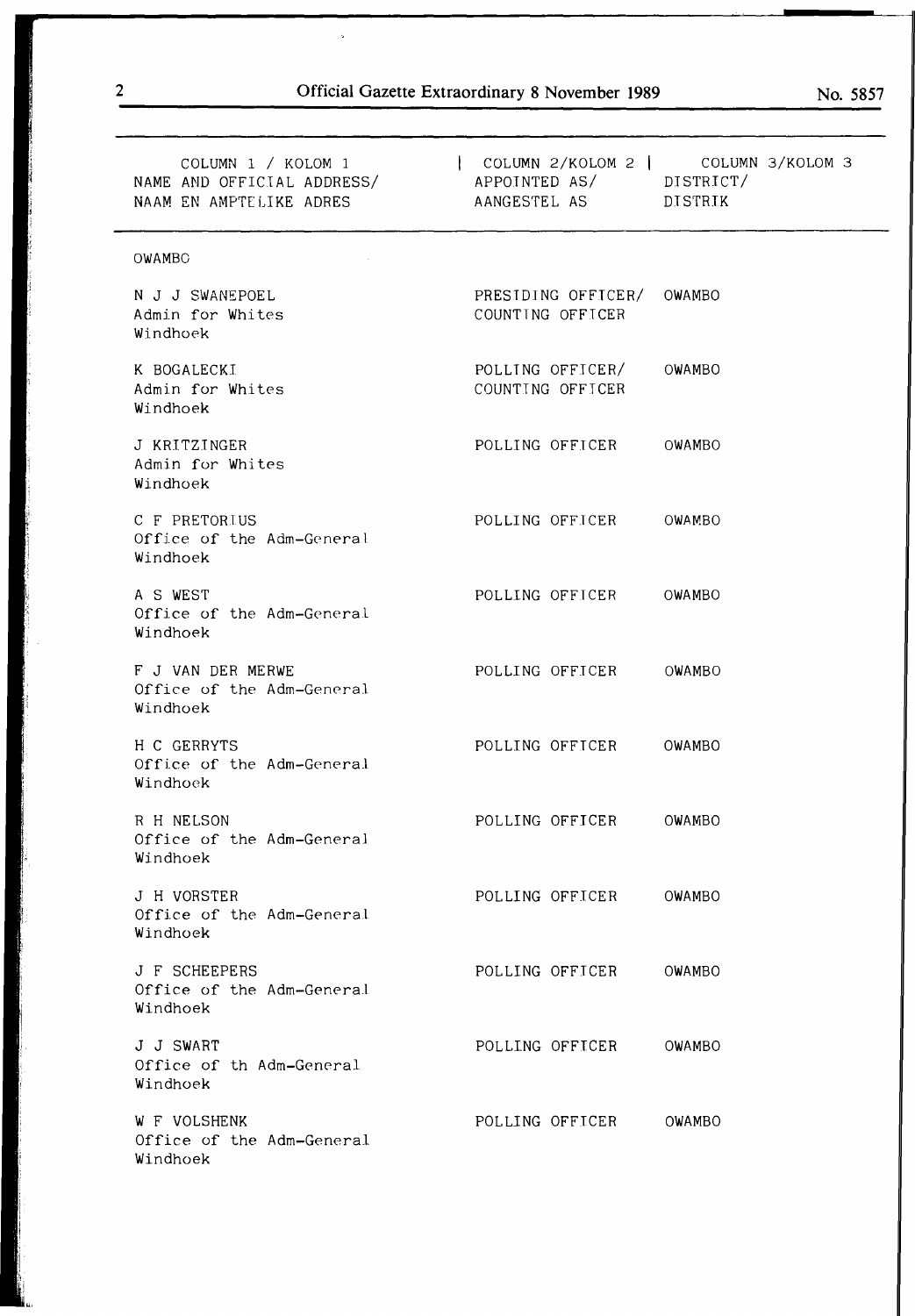$\bar{\mathbf{z}}$ 

| COLUMN 1 / KOLOM 1<br>NAAM EN AMPTELIKE ADRES              | COLUMN 2/KOLOM 2   COLUMN 3/KOLOM 3<br>NAME AND OFFICIAL ADDRESS/ APPOINTED AS/ DISTRICT/<br>AANGESTEL AS DISTRIK |  |
|------------------------------------------------------------|-------------------------------------------------------------------------------------------------------------------|--|
| OWAMBC                                                     |                                                                                                                   |  |
| N J J SWANEPOEL<br>Admin for Whites<br>Windhoek            | PRESIDING OFFICER/ OWAMBO<br>COUNTING OFFICER                                                                     |  |
| K BOGALECKI<br>Admin for Whites<br>Windhoek                | POLLING OFFICER/<br>OWAMBO<br>COUNTING OFFICER                                                                    |  |
| J KRITZINGER<br>Admin for Whites<br>Windhoek               | POLLING OFFICER<br>OWAMBO                                                                                         |  |
| C F PRETORIUS<br>Office of the Adm-General<br>Windhoek     | POLLING OFFICER<br>OWAMBO                                                                                         |  |
| A S WEST<br>Office of the Adm-General<br>Windhoek          | POLLING OFFICER<br>OWAMBO                                                                                         |  |
| F J VAN DER MERWE<br>Office of the Adm-General<br>Windhoek | POLLING OFFICER<br>OWAMBO                                                                                         |  |
| H C GERRYTS<br>Office of the Adm-General<br>Windhoek       | POLLING OFFICER<br>OWAMBO                                                                                         |  |
| R H NELSON<br>Office of the Adm-General<br>Windhoek        | POLLING OFFICER<br>OWAMBO                                                                                         |  |
| J H VORSTER<br>Office of the Adm-General<br>Windhoek       | POLLING OFFICER<br>OWAMBO                                                                                         |  |
| J F SCHEEPERS<br>Office of the Adm-General<br>Windhoek     | POLLING OFFICER<br>OWAMBO                                                                                         |  |
| J J SWART<br>Office of th Adm-General<br>Windhoek          | POLLING OFFICER<br>OWAMBO                                                                                         |  |
| W F VOLSHENK<br>Office of the Adm-General<br>Windhoek      | POLLING OFFICER<br>OWAMBO                                                                                         |  |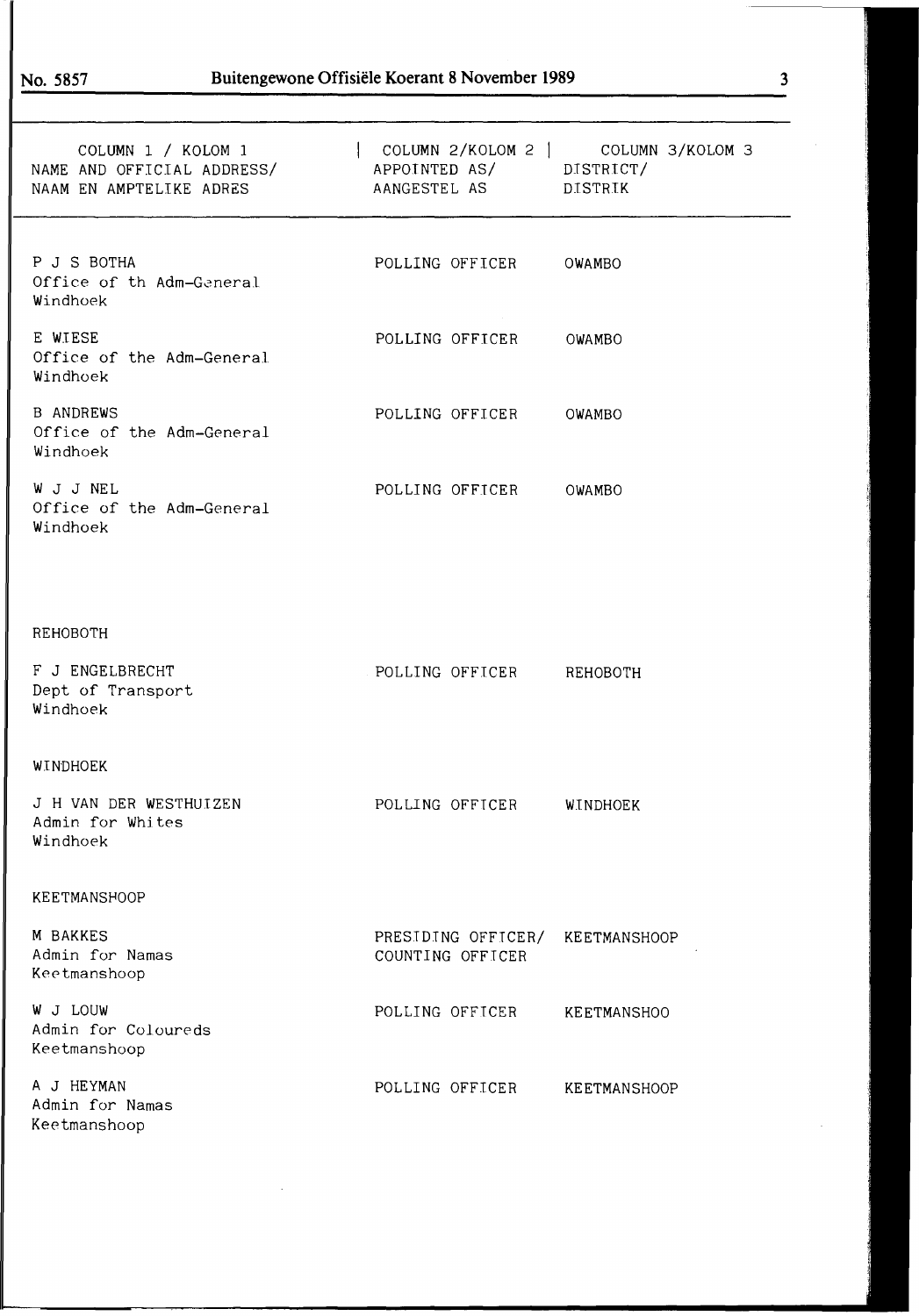| COLUMN 1 / KOLOM 1<br>NAME AND OFFICIAL ADDRESS/<br>NAAM EN AMPTELIKE ADRES | APPOINTED AS/ DISTRICT/<br>AANGESTEL AS DISTRIK | COLUMN 2/KOLOM 2   COLUMN 3/KOLOM 3 |
|-----------------------------------------------------------------------------|-------------------------------------------------|-------------------------------------|
| P J S BOTHA<br>Office of th Adm-General<br>Windhoek                         | POLLING OFFICER OWAMBO                          |                                     |
| E WIESE<br>Office of the Adm-General<br>Windhoek                            | POLLING OFFICER OWAMBO                          |                                     |
| <b>B ANDREWS</b><br>Office of the Adm-General<br>Windhoek                   | POLLING OFFICER OWAMBO                          |                                     |
| W J J NEL<br>Office of the Adm-General<br>Windhoek                          | POLLING OFFICER OWAMBO                          |                                     |
|                                                                             |                                                 |                                     |
| REHOBOTH                                                                    |                                                 |                                     |
| F J ENGELBRECHT<br>Dept of Transport<br>Windhoek                            | POLLING OFFICER REHOBOTH                        |                                     |
| WINDHOEK                                                                    |                                                 |                                     |
| J H VAN DER WESTHUIZEN<br>Admin for Whites<br>Windhoek                      | POLLING OFFICER                                 | WINDHOEK                            |
| <b>KEETMANSHOOP</b>                                                         |                                                 |                                     |
| M BAKKES<br>Admin for Namas<br>Keetmanshoop                                 | PRESIDING OFFICER/<br>COUNTING OFFICER          | KEETMANSHOOP                        |
| W J LOUW<br>Admin for Coloureds<br>Keetmanshoop                             | POLLING OFFICER                                 | KEETMANSHOO                         |
| A J HEYMAN<br>Admin for Namas<br>Keetmanshoop                               | POLLING OFFICER                                 | <b>KEETMANSHOOP</b>                 |